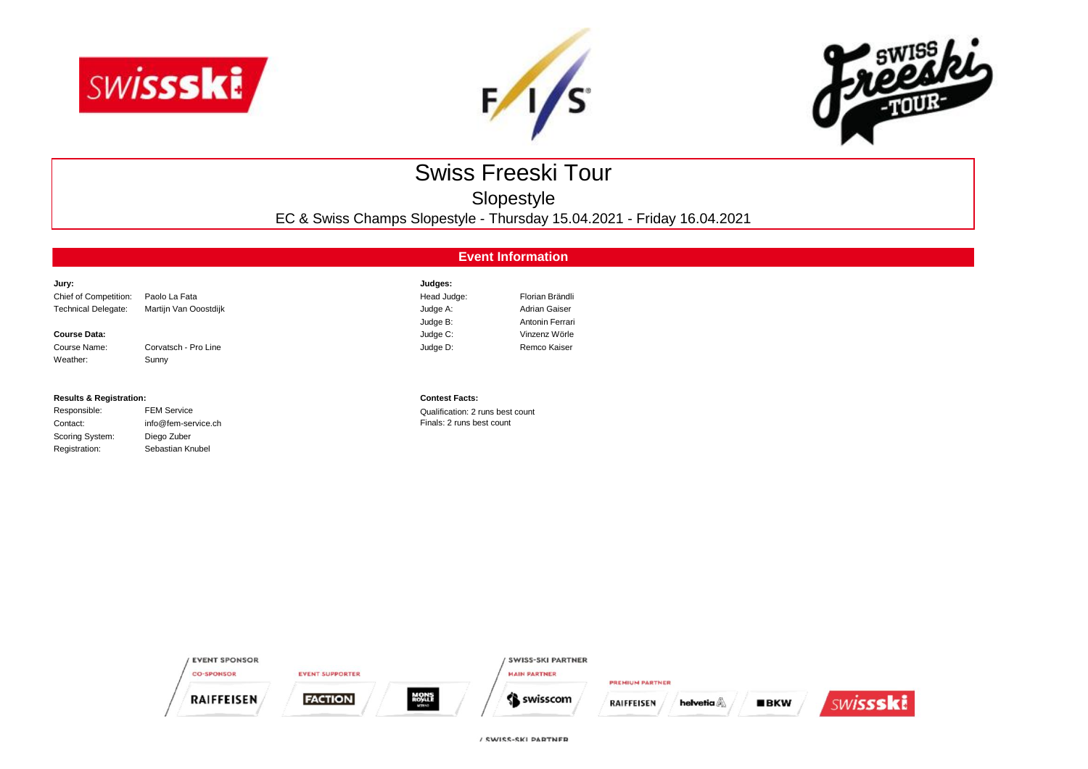





# Swiss Freeski Tour

Slopestyle

EC & Swiss Champs Slopestyle - Thursday 15.04.2021 - Friday 16.04.2021

## **Event Information**

| Jury:                      |                       | Judges:     |                 |
|----------------------------|-----------------------|-------------|-----------------|
| Chief of Competition:      | Paolo La Fata         | Head Judge: | Florian Brändli |
| <b>Technical Delegate:</b> | Martijn Van Ooostdijk | Judge A:    | Adrian Gaiser   |
|                            |                       | Judge B:    | Antonin Ferrari |
| <b>Course Data:</b>        |                       | Judge C:    | Vinzenz Wörle   |
| Course Name:               | Corvatsch - Pro Line  | Judge D:    | Remco Kaiser    |
| Weather:                   | Sunny                 |             |                 |

### **Results & Registration: Contest Facts:**

| Responsible:    | <b>FEM Service</b> |
|-----------------|--------------------|
| Contact:        | info@fem-service.c |
| Scoring System: | Diego Zuber        |
| Registration:   | Sebastian Knubel   |
|                 |                    |

Qualification: 2 runs best count ch contact: info@femals: 2 runs best count

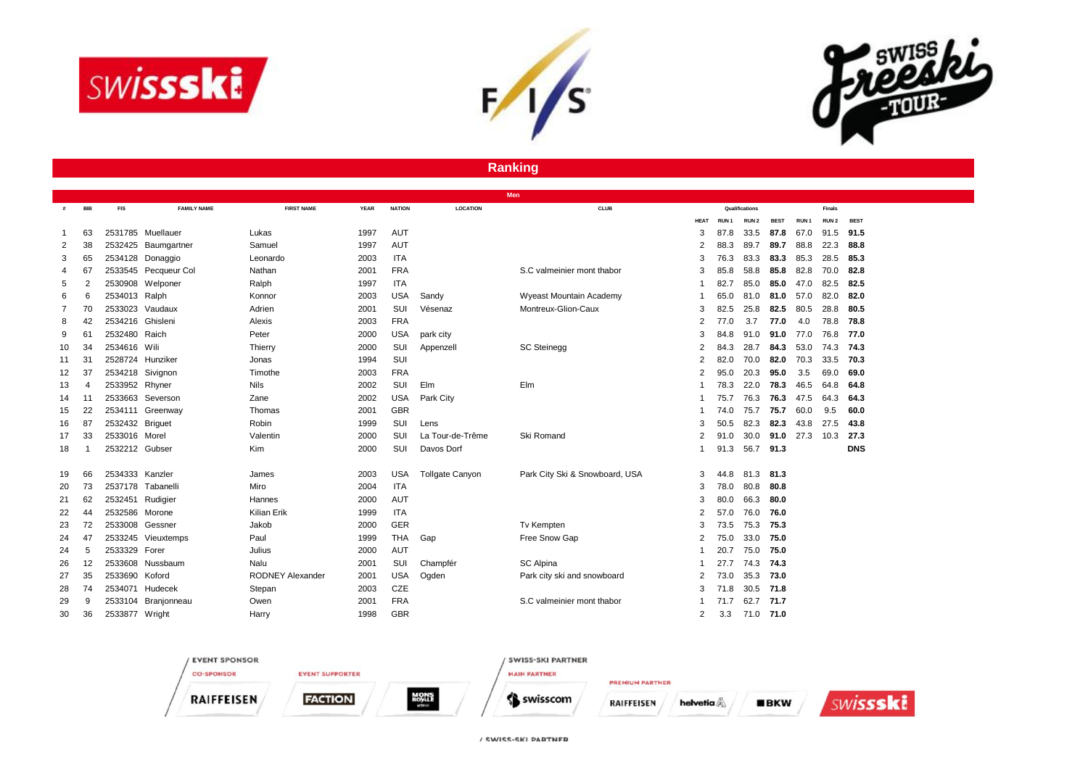





### **Ranking**

|    |            |                  |                      |                         |             |               | Men              |                                |             |                  |                  |             |                  |                  |             |
|----|------------|------------------|----------------------|-------------------------|-------------|---------------|------------------|--------------------------------|-------------|------------------|------------------|-------------|------------------|------------------|-------------|
| #  | <b>BIB</b> | <b>FIS</b>       | <b>FAMILY NAME</b>   | <b>FIRST NAME</b>       | <b>YEAR</b> | <b>NATION</b> | <b>LOCATION</b>  | <b>CLUB</b>                    |             |                  | Qualifications   |             |                  | <b>Finals</b>    |             |
|    |            |                  |                      |                         |             |               |                  |                                | <b>HEAT</b> | RUN <sub>1</sub> | RUN <sub>2</sub> | <b>BEST</b> | RUN <sub>1</sub> | RUN <sub>2</sub> | <b>BEST</b> |
| -1 | 63         |                  | 2531785 Muellauer    | Lukas                   | 1997        | AUT           |                  |                                | 3           | 87.8             | 33.5             | 87.8        | 67.0             | 91.5             | 91.5        |
| 2  | 38         |                  | 2532425 Baumgartner  | Samuel                  | 1997        | <b>AUT</b>    |                  |                                | 2           | 88.3             | 89.7             | 89.7        | 88.8             | 22.3             | 88.8        |
| 3  | 65         |                  | 2534128 Donaggio     | Leonardo                | 2003        | <b>ITA</b>    |                  |                                | 3           | 76.3             | 83.3             | 83.3        | 85.3             | 28.5             | 85.3        |
| 4  | 67         |                  | 2533545 Pecqueur Col | Nathan                  | 2001        | <b>FRA</b>    |                  | S.C valmeinier mont thabor     | 3           | 85.8             | 58.8             | 85.8        | 82.8             | 70.0             | 82.8        |
| 5  | 2          | 2530908          | Welponer             | Ralph                   | 1997        | <b>ITA</b>    |                  |                                |             | 82.7             | 85.0             | 85.0        | 47.0             | 82.5             | 82.5        |
| 6  | 6          | 2534013 Ralph    |                      | Konnor                  | 2003        | <b>USA</b>    | Sandy            | Wyeast Mountain Academy        |             | 65.0             | 81.0             | 81.0        | 57.0             | 82.0             | 82.0        |
|    | 70         | 2533023          | Vaudaux              | Adrien                  | 2001        | SUI           | Vésenaz          | Montreux-Glion-Caux            | 3           | 82.5             | 25.8             | 82.5        | 80.5             | 28.8             | 80.5        |
| 8  | 42         | 2534216 Ghisleni |                      | Alexis                  | 2003        | <b>FRA</b>    |                  |                                | 2           | 77.0             | 3.7              | 77.0        | 4.0              | 78.8             | 78.8        |
| 9  | 61         | 2532480 Raich    |                      | Peter                   | 2000        | <b>USA</b>    | park city        |                                | 3           | 84.8             | 91.0             | 91.0        | 77.0             | 76.8             | 77.0        |
| 10 | 34         | 2534616 Wili     |                      | Thierry                 | 2000        | SUI           | Appenzell        | <b>SC Steinegg</b>             | 2           | 84.3             | 28.7             | 84.3        | 53.0             | 74.3             | 74.3        |
| 11 | 31         |                  | 2528724 Hunziker     | Jonas                   | 1994        | SUI           |                  |                                | 2           | 82.0             | 70.0             | 82.0        | 70.3             | 33.5             | 70.3        |
| 12 | 37         |                  | 2534218 Sivignon     | Timothe                 | 2003        | <b>FRA</b>    |                  |                                | 2           | 95.0             | 20.3             | 95.0        | 3.5              | 69.0             | 69.0        |
| 13 | 4          | 2533952 Rhyner   |                      | <b>Nils</b>             | 2002        | SUI           | Elm              | Elm                            |             | 78.3             | 22.0             | 78.3        | 46.5             | 64.8             | 64.8        |
| 14 | 11         |                  | 2533663 Severson     | Zane                    | 2002        | <b>USA</b>    | Park City        |                                |             | 75.7             | 76.3             | 76.3        | 47.5             | 64.3             | 64.3        |
| 15 | 22         |                  | 2534111 Greenway     | Thomas                  | 2001        | <b>GBR</b>    |                  |                                |             | 74.0             | 75.7             | 75.7        | 60.0             | 9.5              | 60.0        |
| 16 | 87         | 2532432 Briguet  |                      | Robin                   | 1999        | SUI           | Lens             |                                | 3           | 50.5             | 82.3             | 82.3        | 43.8             | 27.5             | 43.8        |
| 17 | 33         | 2533016 Morel    |                      | Valentin                | 2000        | SUI           | La Tour-de-Trême | Ski Romand                     | 2           | 91.0             | 30.0             | 91.0        | 27.3             | 10.3             | 27.3        |
| 18 |            | 2532212 Gubser   |                      | Kim                     | 2000        | SUI           | Davos Dorf       |                                |             | 91.3             | 56.7             | 91.3        |                  |                  | <b>DNS</b>  |
|    |            |                  |                      |                         |             |               |                  |                                |             |                  |                  |             |                  |                  |             |
| 19 | 66         | 2534333 Kanzler  |                      | James                   | 2003        | <b>USA</b>    | Tollgate Canyon  | Park City Ski & Snowboard, USA | 3           | 44.8             | 81.3             | 81.3        |                  |                  |             |
| 20 | 73         |                  | 2537178 Tabanelli    | Miro                    | 2004        | <b>ITA</b>    |                  |                                | 3           | 78.0             | 80.8             | 80.8        |                  |                  |             |
| 21 | 62         | 2532451 Rudigier |                      | Hannes                  | 2000        | AUT           |                  |                                | 3           | 80.0             | 66.3             | 80.0        |                  |                  |             |
| 22 | 44         | 2532586 Morone   |                      | <b>Kilian Erik</b>      | 1999        | <b>ITA</b>    |                  |                                | 2           | 57.0             | 76.0             | 76.0        |                  |                  |             |
| 23 | 72         | 2533008 Gessner  |                      | Jakob                   | 2000        | <b>GER</b>    |                  | Tv Kempten                     | 3           | 73.5             | 75.3             | 75.3        |                  |                  |             |
| 24 | 47         |                  | 2533245 Vieuxtemps   | Paul                    | 1999        | <b>THA</b>    | Gap              | Free Snow Gap                  | 2           | 75.0             | 33.0             | 75.0        |                  |                  |             |
| 24 | 5          | 2533329          | Forer                | Julius                  | 2000        | <b>AUT</b>    |                  |                                |             | 20.7             | 75.0             | 75.0        |                  |                  |             |
| 26 | 12         |                  | 2533608 Nussbaum     | Nalu                    | 2001        | SUI           | Champfér         | <b>SC Alpina</b>               |             | 27.7             | 74.3             | 74.3        |                  |                  |             |
| 27 | 35         | 2533690 Koford   |                      | <b>RODNEY Alexander</b> | 2001        | <b>USA</b>    | Ogden            | Park city ski and snowboard    | 2           | 73.0             | 35.3             | 73.0        |                  |                  |             |
| 28 | 74         |                  | 2534071 Hudecek      | Stepan                  | 2003        | CZE           |                  |                                | 3           | 71.8             | 30.5             | 71.8        |                  |                  |             |
| 29 | 9          | 2533104          | Branjonneau          | Owen                    | 2001        | <b>FRA</b>    |                  | S.C valmeinier mont thabor     | 1           | 71.7             | 62.7             | 71.7        |                  |                  |             |
| 30 | 36         | 2533877 Wright   |                      | Harry                   | 1998        | <b>GBR</b>    |                  |                                | 2           | 3.3              | 71.0             | 71.0        |                  |                  |             |

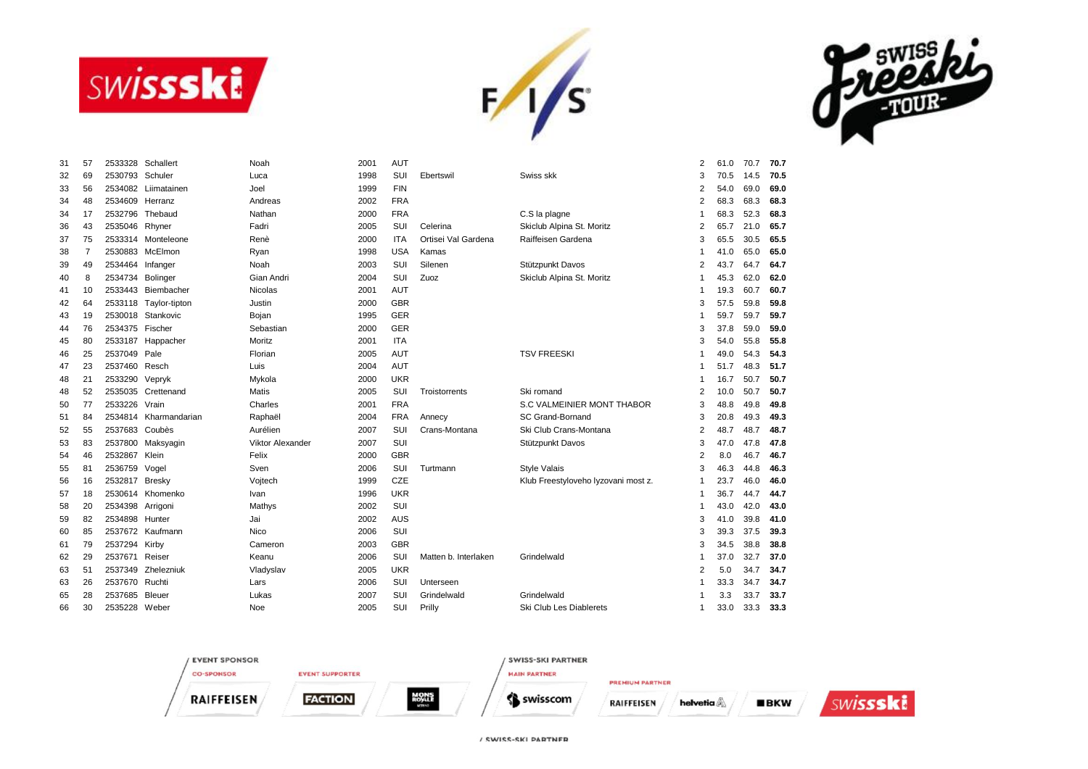





| 31 | 57 | 2533328          | Schallert             | Noah             | 2001 | <b>AUT</b> |                      |                                     | 2              | 61.0 | 70.7 | 70.7 |
|----|----|------------------|-----------------------|------------------|------|------------|----------------------|-------------------------------------|----------------|------|------|------|
| 32 | 69 | 2530793          | Schuler               | Luca             | 1998 | SUI        | Ebertswil            | Swiss skk                           | 3              | 70.5 | 14.5 | 70.5 |
| 33 | 56 |                  | 2534082 Liimatainen   | Joel             | 1999 | <b>FIN</b> |                      |                                     | $\overline{2}$ | 54.0 | 69.0 | 69.0 |
| 34 | 48 | 2534609 Herranz  |                       | Andreas          | 2002 | <b>FRA</b> |                      |                                     | 2              | 68.3 | 68.3 | 68.3 |
| 34 | 17 | 2532796          | Thebaud               | Nathan           | 2000 | <b>FRA</b> |                      | C.S la plagne                       | 1              | 68.3 | 52.3 | 68.3 |
| 36 | 43 | 2535046 Rhyner   |                       | Fadri            | 2005 | SUI        | Celerina             | Skiclub Alpina St. Moritz           | 2              | 65.7 | 21.0 | 65.7 |
| 37 | 75 |                  | 2533314 Monteleone    | Renè             | 2000 | <b>ITA</b> | Ortisei Val Gardena  | Raiffeisen Gardena                  | 3              | 65.5 | 30.5 | 65.5 |
| 38 | 7  |                  | 2530883 McElmon       | Ryan             | 1998 | <b>USA</b> | Kamas                |                                     | 1              | 41.0 | 65.0 | 65.0 |
| 39 | 49 | 2534464 Infanger |                       | Noah             | 2003 | SUI        | Silenen              | Stützpunkt Davos                    | $\overline{2}$ | 43.7 | 64.7 | 64.7 |
| 40 | 8  | 2534734          | Bolinger              | Gian Andri       | 2004 | SUI        | Zuoz                 | Skiclub Alpina St. Moritz           | 1              | 45.3 | 62.0 | 62.0 |
| 41 | 10 | 2533443          | Biembacher            | <b>Nicolas</b>   | 2001 | AUT        |                      |                                     | 1              | 19.3 | 60.7 | 60.7 |
| 42 | 64 | 2533118          | Taylor-tipton         | Justin           | 2000 | <b>GBR</b> |                      |                                     | 3              | 57.5 | 59.8 | 59.8 |
| 43 | 19 | 2530018          | Stankovic             | Bojan            | 1995 | <b>GER</b> |                      |                                     | 1              | 59.7 | 59.7 | 59.7 |
| 44 | 76 | 2534375 Fischer  |                       | Sebastian        | 2000 | GER        |                      |                                     | 3              | 37.8 | 59.0 | 59.0 |
| 45 | 80 | 2533187          | Happacher             | Moritz           | 2001 | <b>ITA</b> |                      |                                     | 3              | 54.0 | 55.8 | 55.8 |
| 46 | 25 | 2537049 Pale     |                       | Florian          | 2005 | <b>AUT</b> |                      | <b>TSV FREESKI</b>                  |                | 49.0 | 54.3 | 54.3 |
| 47 | 23 | 2537460 Resch    |                       | Luis             | 2004 | <b>AUT</b> |                      |                                     |                | 51.7 | 48.3 | 51.7 |
| 48 | 21 | 2533290          | Vepryk                | Mykola           | 2000 | <b>UKR</b> |                      |                                     |                | 16.7 | 50.7 | 50.7 |
| 48 | 52 | 2535035          | Crettenand            | <b>Matis</b>     | 2005 | SUI        | Troistorrents        | Ski romand                          | 2              | 10.0 | 50.7 | 50.7 |
| 50 | 77 | 2533226          | Vrain                 | Charles          | 2001 | <b>FRA</b> |                      | S.C VALMEINIER MONT THABOR          | 3              | 48.8 | 49.8 | 49.8 |
| 51 | 84 |                  | 2534814 Kharmandarian | Raphaël          | 2004 | <b>FRA</b> | Annecy               | SC Grand-Bornand                    | 3              | 20.8 | 49.3 | 49.3 |
| 52 | 55 | 2537683 Coubès   |                       | Aurélien         | 2007 | SUI        | Crans-Montana        | Ski Club Crans-Montana              | 2              | 48.7 | 48.7 | 48.7 |
| 53 | 83 | 2537800          | Maksyagin             | Viktor Alexander | 2007 | SUI        |                      | Stützpunkt Davos                    | 3              | 47.0 | 47.8 | 47.8 |
| 54 | 46 | 2532867          | Klein                 | Felix            | 2000 | <b>GBR</b> |                      |                                     | 2              | 8.0  | 46.7 | 46.7 |
| 55 | 81 | 2536759          | Vogel                 | Sven             | 2006 | SUI        | Turtmann             | <b>Style Valais</b>                 | 3              | 46.3 | 44.8 | 46.3 |
| 56 | 16 | 2532817          | <b>Bresky</b>         | Vojtech          | 1999 | CZE        |                      | Klub Freestyloveho lyzovani most z. | -1             | 23.7 | 46.0 | 46.0 |
| 57 | 18 |                  | 2530614 Khomenko      | Ivan             | 1996 | <b>UKR</b> |                      |                                     | 1              | 36.7 | 44.7 | 44.7 |
| 58 | 20 | 2534398          | Arrigoni              | Mathys           | 2002 | SUI        |                      |                                     | -1             | 43.0 | 42.0 | 43.0 |
| 59 | 82 | 2534898 Hunter   |                       | Jai              | 2002 | AUS        |                      |                                     | 3              | 41.0 | 39.8 | 41.0 |
| 60 | 85 |                  | 2537672 Kaufmann      | <b>Nico</b>      | 2006 | SUI        |                      |                                     | 3              | 39.3 | 37.5 | 39.3 |
| 61 | 79 | 2537294 Kirby    |                       | Cameron          | 2003 | <b>GBR</b> |                      |                                     | 3              | 34.5 | 38.8 | 38.8 |
| 62 | 29 | 2537671          | Reiser                | Keanu            | 2006 | SUI        | Matten b. Interlaken | Grindelwald                         |                | 37.0 | 32.7 | 37.0 |
| 63 | 51 | 2537349          | Zhelezniuk            | Vladyslav        | 2005 | <b>UKR</b> |                      |                                     | $\overline{2}$ | 5.0  | 34.7 | 34.7 |
| 63 | 26 | 2537670 Ruchti   |                       | Lars             | 2006 | SUI        | Unterseen            |                                     |                | 33.3 | 34.7 | 34.7 |
| 65 | 28 | 2537685          | Bleuer                | Lukas            | 2007 | SUI        | Grindelwald          | Grindelwald                         |                | 3.3  | 33.7 | 33.7 |
| 66 | 30 | 2535228          | Weber                 | Noe              | 2005 | SUI        | Prilly               | Ski Club Les Diablerets             | $\mathbf{1}$   | 33.0 | 33.3 | 33.3 |